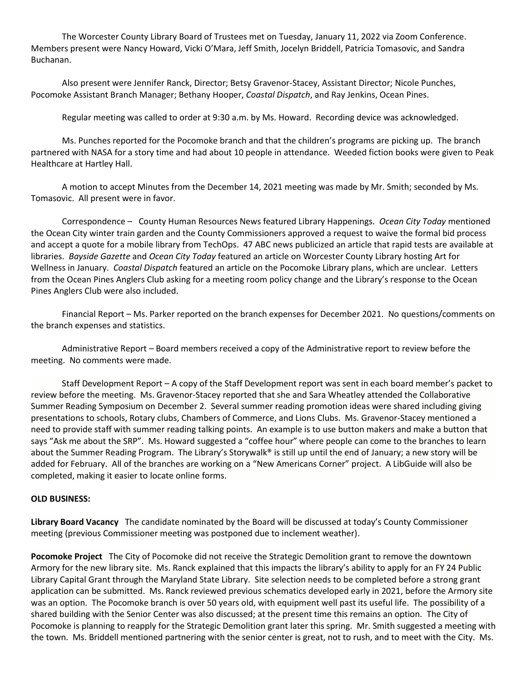The Worcester County Library Board of Trustees met on Tuesday, January 11, 2022 via Zoom Conference. Members present were Nancy Howard, Vicki O'Mara, Jeff Smith, Jocelyn Briddell, Patricia Tomasovic, and Sandra Buchanan.

Also present were Jennifer Ranck, Director; Betsy Gravenor-Stacey, Assistant Director; Nicole Punches, Pocomoke Assistant Branch Manager; Bethany Hooper, *Coastal Dispatch*, and Ray Jenkins, Ocean Pines.

Regular meeting was called to order at 9:30 a.m. by Ms. Howard. Recording device was acknowledged.

Ms. Punches reported for the Pocomoke branch and that the children's programs are picking up. The branch partnered with NASA for a story time and had about 10 people in attendance. Weeded fiction books were given to Peak Healthcare at Hartley Hall.

A motion to accept Minutes from the December 14, 2021 meeting was made by Mr. Smith; seconded by Ms. Tomasovic. All present were in favor.

Correspondence – County Human Resources News featured Library Happenings. *Ocean City Today* mentioned the Ocean City winter train garden and the County Commissioners approved a request to waive the formal bid process and accept a quote for a mobile library from TechOps. 47 ABC news publicized an article that rapid tests are available at libraries. *Bayside Gazette* and *Ocean City Today* featured an article on Worcester County Library hosting Art for Wellness in January. *Coastal Dispatch* featured an article on the Pocomoke Library plans, which are unclear. Letters from the Ocean Pines Anglers Club asking for a meeting room policy change and the Library's response to the Ocean Pines Anglers Club were also included.

Financial Report – Ms. Parker reported on the branch expenses for December 2021. No questions/comments on the branch expenses and statistics.

Administrative Report – Board members received a copy of the Administrative report to review before the meeting. No comments were made.

Staff Development Report – A copy of the Staff Development report was sent in each board member's packet to review before the meeting. Ms. Gravenor-Stacey reported that she and Sara Wheatley attended the Collaborative Summer Reading Symposium on December 2. Several summer reading promotion ideas were shared including giving presentations to schools, Rotary clubs, Chambers of Commerce, and Lions Clubs. Ms. Gravenor-Stacey mentioned a need to provide staff with summer reading talking points. An example is to use button makers and make a button that says "Ask me about the SRP". Ms. Howard suggested a "coffee hour" where people can come to the branches to learn about the Summer Reading Program. The Library's Storywalk® is still up until the end of January; a new story will be added for February. All of the branches are working on a "New Americans Corner" project. A LibGuide will also be completed, making it easier to locate online forms.

## **OLD BUSINESS:**

**Library Board Vacancy** The candidate nominated by the Board will be discussed at today's County Commissioner meeting (previous Commissioner meeting was postponed due to inclement weather).

**Pocomoke Project** The City of Pocomoke did not receive the Strategic Demolition grant to remove the downtown Armory for the new library site. Ms. Ranck explained that this impacts the library's ability to apply for an FY 24 Public Library Capital Grant through the Maryland State Library. Site selection needs to be completed before a strong grant application can be submitted. Ms. Ranck reviewed previous schematics developed early in 2021, before the Armory site was an option. The Pocomoke branch is over 50 years old, with equipment well past its useful life. The possibility of a shared building with the Senior Center was also discussed; at the present time this remains an option. The City of Pocomoke is planning to reapply for the Strategic Demolition grant later this spring. Mr. Smith suggested a meeting with the town. Ms. Briddell mentioned partnering with the senior center is great, not to rush, and to meet with the City. Ms.